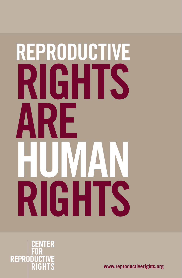# **Reproductive Rights are Human Rights**

REPRODU Ŗ **GHT** 

**www.reproductiverights.org**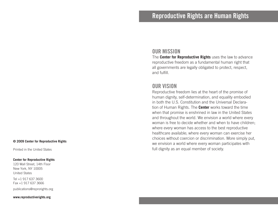# **Reproductive Rights are Human Rights**

# **OUR MISSION**

The **Center for Reproductive Rights** uses the law to advance reproductive freedom as a fundamental human right that all governments are legally obligated to protect, respect, and fulfill.

# **OUR VISION**

Reproductive freedom lies at the heart of the promise of human dignity, self-determination, and equality embodied in both the U.S. Constitution and the Universal Declaration of Human Rights. The **Center** works toward the time when that promise is enshrined in law in the United States and throughout the world. We envision a world where every woman is free to decide whether and when to have children; where every woman has access to the best reproductive healthcare available; where every woman can exercise her choices without coercion or discrimination. More simply put, we envision a world where every woman participates with full dignity as an equal member of society.

#### **© 2009 Center for Reproductive Rights**

Printed in the United States

#### **Center for Reproductive Rights**

120 Wall Street, 14th Floor New York, NY 10005 United States

Tel +1 917 637 3600 Fax +1 917 637 3666

publications@reprorights.org

**www.reproductiverights.org**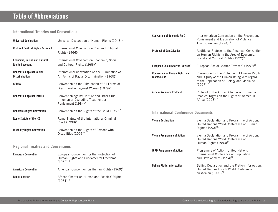# **Table of Abbreviations**

# **International Treaties and Conventions**

|                                                           |                                                                                                                    | <b>Convention of Belém do Pará</b>                          | Inter-American Convention on the Prevention,                                                                             |  |
|-----------------------------------------------------------|--------------------------------------------------------------------------------------------------------------------|-------------------------------------------------------------|--------------------------------------------------------------------------------------------------------------------------|--|
| <b>Universal Declaration</b>                              | Universal Declaration of Human Rights (1948) <sup>1</sup>                                                          |                                                             | Punishment and Eradication of Violence<br>Against Women (1994) <sup>13</sup>                                             |  |
| <b>Civil and Political Rights Covenant</b>                | International Covenant on Civil and Political<br>Rights $(1966)^2$                                                 | <b>Protocol of San Salvador</b>                             | Additional Protocol to the American Convention<br>on Human Rights in the Area of Economic,                               |  |
| <b>Economic, Social, and Cultural</b>                     | International Covenant on Economic, Social                                                                         |                                                             | Social and Cultural Rights (1992) <sup>14</sup>                                                                          |  |
| <b>Rights Covenant</b>                                    | and Cultural Rights $(1966)^3$                                                                                     | <b>European Social Charter (Revised)</b>                    | European Social Charter (Revised) (1997) <sup>15</sup>                                                                   |  |
| <b>Convention against Racial</b><br><b>Discrimination</b> | International Convention on the Elimination of<br>All Forms of Racial Discrimination (1965) <sup>4</sup>           | <b>Convention on Human Rights and</b><br><b>Biomedicine</b> | Convention for the Protection of Human Rights<br>and Dignity of the Human Being with regard                              |  |
| <b>CEDAW</b>                                              | Convention on the Elimination of All Forms of<br>Discrimination against Women (1979) <sup>5</sup>                  |                                                             | to the Application of Biology and Medicine<br>$(1997)^{16}$                                                              |  |
| <b>Convention against Torture</b>                         | Convention against Torture and Other Cruel,<br>Inhuman or Degrading Treatment or<br>Punishment (1984) <sup>6</sup> | <b>African Women's Protocol</b>                             | Protocol to the African Charter on Human and<br>Peoples' Rights on the Rights of Women in<br>Africa (2003) <sup>17</sup> |  |
| <b>Children's Rights Convention</b>                       | Convention on the Rights of the Child (1989)'                                                                      |                                                             | <b>International Conference Documents</b>                                                                                |  |
| Rome Statute of the ICC                                   | Rome Statute of the International Criminal<br>Court (1998) <sup>8</sup>                                            | <b>Vienna Declaration</b>                                   | Vienna Declaration and Programme of Action,<br>United Nations World Conference on Human                                  |  |
| <b>Disability Rights Convention</b>                       | Convention on the Rights of Persons with                                                                           |                                                             | Rights (1993) <sup>18</sup>                                                                                              |  |
|                                                           | Disabilities (2006) <sup>9</sup>                                                                                   | <b>Vienna Programme of Action</b>                           | Vienna Declaration and Programme of Action,<br>United Nations World Conference on<br>Human Rights (1993) <sup>19</sup>   |  |
| <b>Regional Treaties and Conventions</b>                  |                                                                                                                    |                                                             |                                                                                                                          |  |
| <b>European Convention</b>                                | European Convention for the Protection of<br>Human Rights and Fundamental Freedoms<br>$(1950)^{10}$                | <b>ICPD Programme of Action</b>                             | Programme of Action, United Nations<br>International Conference on Population<br>and Development (1994) <sup>20</sup>    |  |
| <b>American Convention</b>                                | American Convention on Human Rights (1969) <sup>11</sup>                                                           | <b>Beijing Platform for Action</b>                          | Beijing Declaration and the Platform for Action,<br>United Nations Fourth World Conference<br>on Women $(1995)^{21}$     |  |
| <b>Banjul Charter</b>                                     | African Charter on Human and Peoples' Rights<br>$(1981)^{12}$                                                      |                                                             |                                                                                                                          |  |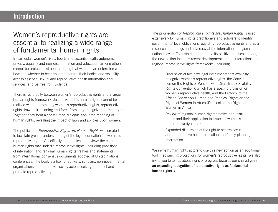# **Introduction**

# Women's reproductive rights are essential to realizing a wide range of fundamental human rights.

In particular, women's lives, liberty and security, heath, autonomy, privacy, equality and non-discrimination and education, among others, cannot be protected without ensuring that women can determine when, how and whether to bear children, control their bodies and sexuality, access essential sexual and reproductive health information and services, and be free from violence.

There is reciprocity between women's reproductive rights and a larger human rights framework. Just as women's human rights cannot be realized without promoting women's reproductive rights, reproductive rights draw their meaning and force from long-recognized human rights. Together, they form a constructive dialogue about the meaning of human rights, revealing the impact of laws and policies upon women.

The publication *Reproductive Rights are Human Rights* was created to facilitate greater understanding of the legal foundations of women's reproductive rights. Specifically, the publication reviews the core human rights that underlie reproductive rights, including provisions of internationl and regional human rights treaties and statements from international consensus documents adopted at United Nations conferences. The book is a tool for activists, scholars, non-governmental organizations and other civil society actors seeking to protect and promote reproductive rights.

The prior edition of *Reproductive Rights are Human Rights* is used extensively by human rights practitioners and scholars to identify governments' legal obligations regarding reproductive rights and as a resource in trainings and advocacy at the international, regional and national levels. To sustain and enhance its positive practical impact, the new edition includes recent developments in the international and regional reproductive rights frameworks, including:

- $\circ$  Discussion of two new legal instruments that explicitly recognize women's reproductive rights: the Convention on the Rights of Persons with Disabilities (Disability Rights Convention), which has a specific provision on women's reproductive health, and the Protocol to the African Charter on Human and Peoples' Rights on the Rights of Women in Africa (Protocol on the Rights of Women in Africa);
- $\circ$  Review of regional human rights treaties and instruments and their application to issues of women's reproductive rights; and
- $\circ$  Expanded discussion of the right to access sexual and reproductive health education and family planning information.

We invite human rights actors to use this new edition as an additional tool in advancing protections for women's reproductive rights. We also invite you to tell us about signs of progress towards our shared goal: **an expanding recognition of reproductive rights as fundamental human rights.** •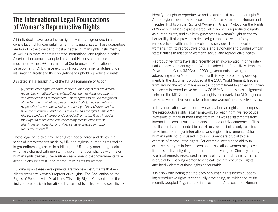# **The International Legal Foundations of Women's Reproductive Rights**

All individuals have reproductive rights, which are grounded in a constellation of fundamental human rights guarantees. These guarantees are found in the oldest and most accepted human rights instruments, as well as in more recently adopted international and regional treaties. A series of documents adopted at United Nations conferences, most notably the 1994 International Conference on Population and Development (ICPD), have explicitly linked governments' duties under international treaties to their obligations to uphold reproductive rights.

As stated in Paragraph 7.3 of the ICPD Programme of Action:

*[R]eproductive rights embrace certain human rights that are already recognized in national laws, international human rights documents and other consensus documents. These rights rest on the recognition of the basic right of all couples and individuals to decide freely and responsibly the number, spacing and timing of their children and to have the information and means to do so, and the right to attain the highest standard of sexual and reproductive health. It also includes their right to make decisions concerning reproduction free of discrimination, coercion and violence, as expressed in human rights documents.*<sup>22</sup>

These legal principles have been given added force and depth in a series of interpretations made by UN and regional human rights bodies in groundbreaking cases. In addition, the UN treaty monitoring bodies, which are charged with monitoring government compliance with major human rights treaties, now routinely recommend that governments take action to ensure sexual and reproductive rights for women.

Building upon these developments are two new instruments that explicitly recognize women's reproductive rights. The Convention on the Rights of Persons with Disabilities (Disability Rights Convention) is the first comprehensive international human rights instrument to specifically identify the right to reproductive and sexual health as a human right.<sup>23</sup> At the regional level, the Protocol to the African Charter on Human and Peoples' Rights on the Rights of Women in Africa (Protocol on the Rights of Women in Africa) expressly articulates women's reproductive rights as human rights, and explicitly guarantees a woman's right to control her fertility. It also provides a detailed guarantee of women's right to reproductive health and family planning services. The protocol affirms women's right to reproductive choice and autonomy and clarifies African states' duties in relation to women's sexual and reproductive health.

Reproductive rights have also recently been incorporated into the international development agenda. With the adoption of the UN Millennium Development Goals (MDGs) in 2000, governments have agreed that addressing women's reproductive health is key to promoting development. In the document produced at the 2005 World Summit, leaders from around the world made an explicit commitment to achieving universal access to reproductive health by 2015.<sup>24</sup> As there is close alignment between the MDGs and the human rights framework, the MDG agenda provides yet another vehicle for advancing women's reproductive rights.

In this publication, we set forth twelve key human rights that comprise the reproductive rights legal framework. For each right, we reproduce provisions of major human rights treaties, as well as statements from international consensus documents adopted at UN conferences. This publication is not intended to be exhaustive, as it cites only selected provisions from major international and regional instruments. Other human rights not discussed in this document are crucial to the exercise of reproductive rights. For example, without the ability to exercise the rights to free speech and association, women may have little possibility of fighting for their reproductive rights. Similarly, the right to a legal remedy, recognized in nearly all human rights instruments, is crucial for enabling women to vindicate their reproductive rights and hold violators of those rights accountable.

It is also worth noting that the body of human rights norms supporting reproductive rights is continually developing, as evidenced by the recently adopted Yogyakarta Principles on the Application of Human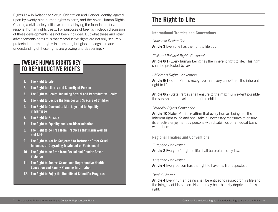Rights Law in Relation to Sexual Orientation and Gender Identity, agreed upon by twenty-nine human rights experts, and the Asian Human Rights Charter, a civil society initiative aimed at laying the foundation for a regional human rights treaty. For purposes of brevity, in-depth discussion of these developments has not been included. But what these and other advancements confirm is that reproductive rights are not only securely protected in human rights instruments, but global recognition and understanding of those rights are growing and deepening. •

# **twelve human rights key to reproductive rights**

- **1. The Right to Life**
- **2. The Right to Liberty and Security of Person**
- **3. The Right to Health, including Sexual and Reproductive Health**
- **4. The Right to Decide the Number and Spacing of Children**
- **5. The Right to Consent to Marriage and to Equality in Marriage**
- **6. The Right to Privacy**
- **7. The Right to Equality and Non-Discrimination**
- **8. The Right to be Free from Practices that Harm Women and Girls**
- **9. The Right to Not be Subjected to Torture or Other Cruel, Inhuman, or Degrading Treatment or Punishment**
- **10. The Right to be Free from Sexual and Gender-Based Violence**
- **11. The Right to Access Sexual and Reproductive Health Education and Family Planning Information**
- **12. The Right to Enjoy the Benefits of Scientific Progress**

# **The Right to Life**

**International Treaties and Conventions**

*Universal Declaration* **Article 3** Everyone has the right to life . . .

# *Civil and Political Rights Covenant*

**Article 6(1)** Every human being has the inherent right to life. This right shall be protected by law.

# *Children's Rights Convention*

**Article 6(1)** State Parties recognize that every child<sup>25</sup> has the inherent right to life.

**Article 6(2)** State Parties shall ensure to the maximum extent possible the survival and development of the child.

# *Disability Rights Convention*

**Article 10** States Parties reaffirm that every human being has the inherent right to life and shall take all necessary measures to ensure its effective enjoyment by persons with disabilities on an equal basis with others.

**Regional Treaties and Conventions**

*European Convention*

**Article 2** Everyone's right to life shall be protected by law.

# *American Convention*

**Article 4** Every person has the right to have his life respected.

# *Banjul Charter*

**Article 4** Every human being shall be entitled to respect for his life and the integrity of his person. No one may be arbitrarily deprived of this right.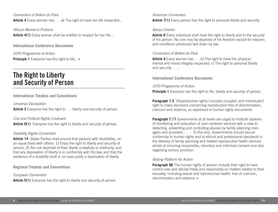*Convention of Belém do Pará* **Article 4** Every woman has . . . a) The right to have her life respected...

*African Women's Protocol* Article 4(1) Every woman shall be entitled to respect for her life...

**International Conference Documents**

*ICPD Programme of Action* **Principle 1** Everyone has the right to life... •

# **The Right to Liberty and Security of Person**

**International Treaties and Conventions**

*Universal Declaration*

**Article 3** Everyone has the right to . . . liberty and security of person.

# *Civil and Political Rights Covenant*

**Article 9(1)** Everyone has the right to liberty and security of person.

# *Disability Rights Convention*

**Article 14** States Parties shall ensure that persons with disabilities, on an equal basis with others: 1) Enjoy the right to liberty and security of person; 2) Are not deprived of their liberty unlawfully or arbitrarily, and that any deprivation of liberty is in conformity with the law, and that the existence of a disability shall in no case justify a deprivation of liberty.

**Regional Treaties and Conventions**

*European Convention*

**Article 5(1)** Everyone has the right to liberty and security of person.

# *American Convention*

**Article 7(1)** Every person has the right to personal liberty and security.

# *Banjul Charter*

**Article 6** Every individual shall have the right to liberty and to the security of his person. No one may be deprived of his freedom except for reasons and conditions previously laid down by law.

# *Convention of Belém do Pará*

**Article 4** Every woman has . . . b) The right to have her physical, mental and moral integrity respected; c) The right to personal liberty and security . . . .

**International Conference Documents**

# *ICPD Programme of Action*

**Principle 1** Everyone has the right to life, liberty and security of person.

**Paragraph 7.3** [Reproductive rights] includes [couples' and individuals'] right to make decisions concerning reproduction free of discrimination, coercion and violence, as expressed in human rights documents.

**Paragraph 7.17** Governments at all levels are urged to institute systems of monitoring and evaluation of user-centered services with a view to detecting, preventing and controlling abuses by family-planning managers and providers . . . . To this end, Governments should secure conformity to human rights and to ethical and professional standards in the delivery of family planning and related reproductive health services aimed at ensuring responsible, voluntary and informed consent and also regarding service provision.

# *Beijing Platform for Action*

**Paragraph 96** The human rights of women include their right to have control over and decide freely and responsibly on matters related to their sexuality, including sexual and reproductive health, free of coercion, discrimination and violence. •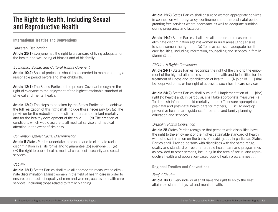# **The Right to Health, Including Sexual and Reproductive Health**

**International Treaties and Conventions**

# *Universal Declaration*

**Article 25(1)** Everyone has the right to a standard of living adequate for the health and well-being of himself and of his family . . . .

# *Economic, Social, and Cultural Rights Covenant*

**Article 10(2)** Special protection should be accorded to mothers during a reasonable period before and after childbirth.

**Article 12(1)** The States Parties to the present Covenant recognize the right of everyone to the enjoyment of the highest attainable standard of physical and mental health.

**Article 12(2)** The steps to be taken by the States Parties to . . . achieve the full realization of this right shall include those necessary for: (a) The provision for the reduction of the stillbirth-rate and of infant mortality and for the healthy development of the child; . . . (d) The creation of conditions which would assure to all medical service and medical attention in the event of sickness.

# *Convention against Racial Discrimination*

**Article 5** States Parties undertake to prohibit and to eliminate racial discrimination in all its forms and to guarantee [to] everyone . . . (e) (iv) the right to public health, medical care, social security and social services.

# *CEDAW*

**Article 12(1)** States Parties shall take all appropriate measures to eliminate discrimination against women in the field of health care in order to ensure, on a basis of equality of men and women, access to health care services, including those related to family planning.

**Article 12(2)** States Parties shall ensure to women appropriate services in connection with pregnancy, confinement and the post-natal period, granting free services where necessary, as well as adequate nutrition during pregnancy and lactation.

**Article 14(2)** States Parties shall take all appropriate measures to eliminate discrimination against women in rural areas [and] ensure to such women the right: . . . (b) To have access to adequate health care facilities, including information, counselling and services in family planning. . . .

# *Children's Rights Convention*

**Article 24(1)** States Parties recognize the right of the child to the enjoyment of the highest attainable standard of health and to facilities for the treatment of illness and rehabilitation of health. . . . [N]o child . . . [shall be] deprived of his or her right of access to such health care services.

**Article 24(2)** States Parties shall pursue full implementation of . . . [the] right [to health] and, in particular, shall take appropriate measures: (a) To diminish infant and child mortality; . . . (d) To ensure appropriate pre-natal and post-natal health care for mothers; . . . (f) To develop preventive health care, guidance for parents and family planning education and services.

# *Disability Rights Convention*

**Article 25** States Parties recognize that persons with disabilities have the right to the enjoyment of the highest attainable standard of health without discrimination on the basis of disability. . . . In particular, States Parties shall: Provide persons with disabilities with the same range, quality and standard of free or affordable health care and programmes as provided to other persons, including in the area of sexual and reproductive health and population-based public health programmes . . . .

**Regional Treaties and Conventions**

# *Banjul Charter*

**Article 16(1)** Every individual shall have the right to enjoy the best attainable state of physical and mental health.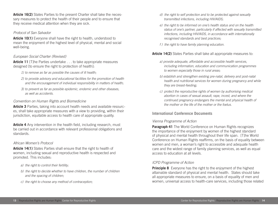**Article 16(2)** States Parties to the present Charter shall take the necessary measures to protect the health of their people and to ensure that they receive medical attention when they are sick.

# *Protocol of San Salvador*

**Article 10(1)** Everyone shall have the right to health, understood to mean the enjoyment of the highest level of physical, mental and social well-being.

# *European Social Charter (Revised)*

**Article 11** [T]he Parties undertake . . . to take appropriate measures designed [to ensure the right to protection of health]:

- *1) to remove as far as possible the causes of ill health;*
- *2) to provide advisory and educational facilities for the promotion of health and the encouragement of individual responsibility in matters of health;*
- *3) to prevent as far as possible epidemic, endemic and other diseases, as well as accidents.*

# *Convention on Human Rights and Biomedicine*

**Article 3** Parties, taking into account health needs and available resources, shall take appropriate measures with a view to providing, within their jurisdiction, equitable access to health care of appropriate quality.

**Article 4** Any intervention in the health field, including research, must be carried out in accordance with relevant professional obligations and standards.

# *African Women's Protocol*

**Article 14(1)** States Parties shall ensure that the right to health of women, including sexual and reproductive health is respected and promoted. This includes:

- *a) the right to control their fertility;*
- *b) the right to decide whether to have children, the number of children and the spacing of children;*
- *c) the right to choose any method of contraception;*
- *d) the right to self protection and to be protected against sexually transmitted infections, including HIV/AIDS;*
- *e) the right to be informed on one's health status and on the health status of one's partner, particularly if affected with sexually transmitted infections, including HIV/AIDS, in accordance with internationally recognised standards and best practices;*
- *f ) the right to have family planning education.*

**Article 14(2)** States Parties shall take all appropriate measures to:

- *a) provide adequate, affordable and accessible health services, including information, education and communication programmes to women especially those in rural areas;*
- *b) establish and strengthen existing pre-natal, delivery and post-natal health and nutritional services for women during pregnancy and while they are breast-feeding;*
- *c) protect the reproductive rights of women by authorising medical abortion in cases of sexual assault, rape, incest, and where the continued pregnancy endangers the mental and physical health of the mother or the life of the mother or the foetus.*

**International Conference Documents**

# *Vienna Programme of Action*

**Paragraph 41** The World Conference on Human Rights recognizes the importance of the enjoyment by women of the highest standard of physical and mental health throughout their life span. [T]he World Conference on Human Rights reaffirms, on the basis of equality between women and men, a woman's right to accessible and adequate health care and the widest range of family planning services, as well as equal access to education at all levels.

#### *ICPD Programme of Action*

**Principle 8** Everyone has the right to the enjoyment of the highest attainable standard of physical and mental health. States should take all appropriate measures to ensure, on a basis of equality of men and women, universal access to health-care services, including those related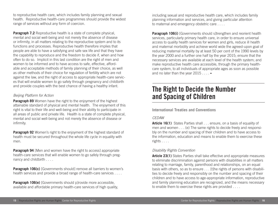to reproductive health care, which includes family planning and sexual health. Reproductive health-care programmes should provide the widest range of services without any form of coercion.

**Paragraph 7.2** Reproductive health is a state of complete physical, mental and social well-being and not merely the absence of disease or infirmity, in all matters relating to the reproductive system and to its functions and processes. Reproductive health therefore implies that people are able to have a satisfying and safe sex life and that they have the capability to reproduce and the freedom to decide if, when and how often to do so. Implicit in this last condition are the right of men and women to be informed and to have access to safe, effective, affordable and acceptable methods of family planning of their choice, as well as other methods of their choice for regulation of fertility which are not against the law, and the right of access to appropriate health-care services that will enable women to go safely through pregnancy and childbirth and provide couples with the best chance of having a healthy infant.

# *Beijing Platform for Action*

**Paragraph 89** Women have the right to the enjoyment of the highest attainable standard of physical and mental health. The enjoyment of this right is vital to their life and well-being and their ability to participate in all areas of public and private life. Health is a state of complete physical, mental and social well-being and not merely the absence of disease or infirmity.

**Paragraph 92** Women's right to the enjoyment of the highest standard of health must be secured throughout the whole life cycle in equality with men.

**Paragraph 94** [Men and women have the right to access] appropriate health-care services that will enable women to go safely through pregnancy and childbirth . . . .

**Paragraph 106(c)** [Governments should] remove all barriers to women's health services and provide a broad range of health-care services . . . .

**Paragraph 106(e)** [Governments should p]rovide more accessible, available and affordable primary health-care services of high quality, including sexual and reproductive health care, which includes family planning information and services, and giving particular attention to maternal and emergency obstetric care . . . .

**Paragraph 106(i)** [Governments should s]trengthen and reorient health services, particularly primary health care, in order to ensure universal access to quality health services for women and girls, reduce ill health and maternal morbidity and achieve world wide the agreed-upon goal of reducing maternal mortality by at least 50 per cent of the 1990 levels by the year 2000 and a further one half by the year 2015; ensure that the necessary services are available at each level of the health system; and make reproductive health care accessible, through the primary healthcare system, to all individuals of appropriate ages as soon as possible and no later than the year 2015 . . . . •

# **The Right to Decide the Number and Spacing of Children**

**International Treaties and Conventions**

# *CEDAW*

**Article 16(1)** States Parties shall . . . ensure, on a basis of equality of men and women . . . (e) The same rights to decide freely and responsibly on the number and spacing of their children and to have access to the information, education and means to enable them to exercise these rights . . . .

# *Disability Rights Convention*

**Article 23(1)** States Parties shall take effective and appropriate measures to eliminate discrimination against persons with disabilities in all matters relating to marriage, family, parenthood and relationships, on an equal basis with others, so as to ensure . . . [t]he rights of persons with disabilities to decide freely and responsibly on the number and spacing of their children and to have access to age-appropriate information, reproductive and family planning education are recognized, and the means necessary to enable them to exercise these rights are provided . . . .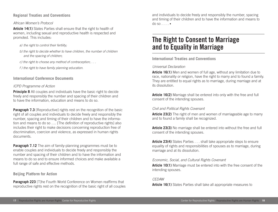# **Regional Treaties and Conventions**

#### *African Women's Protocol*

**Article 14(1)** States Parties shall ensure that the right to health of women, including sexual and reproductive health is respected and promoted. This includes:

#### *a) the right to control their fertility;*

- *b) the right to decide whether to have children, the number of children and the spacing of children;*
- *c) the right to choose any method of contraception; . . .*
- *f ) the right to have family planning education.*

#### **International Conference Documents**

#### *ICPD Programme of Action*

**Principle 8** All couples and individuals have the basic right to decide freely and responsibly the number and spacing of their children and to have the information, education and means to do so.

**Paragraph 7.3** [Reproductive] rights rest on the recognition of the basic right of all couples and individuals to decide freely and responsibly the number, spacing and timing of their children and to have the information and means to do so …. [The definition of reproductive rights] also includes their right to make decisions concerning reproduction free of discrimination, coercion and violence, as expressed in human rights documents.

**Paragraph 7.12** The aim of family-planning programmes must be to enable couples and individuals to decide freely and responsibly the number and spacing of their children and to have the information and means to do so and to ensure informed choices and make available a full range of safe and effective methods.

**Beijing Platform for Action** 

**Paragraph 223** [T]he Fourth World Conference on Women reaffirms that reproductive rights rest on the recognition of the basic right of all couples and individuals to decide freely and responsibly the number, spacing and timing of their children and to have the information and means to  $do$  so  $\ldots$   $\bullet$ 

# **The Right to Consent to Marriage and to Equality in Marriage**

**International Treaties and Conventions**

#### *Universal Declaration*

**Article 16(1)** Men and women of full age, without any limitation due to race, nationality or religion, have the right to marry and to found a family. They are entitled to equal rights as to marriage, during marriage and at its dissolution.

**Article 16(2)** Marriage shall be entered into only with the free and full consent of the intending spouses.

# *Civil and Political Rights Covenant*

**Article 23(2)** The right of men and women of marriageable age to marry and to found a family shall be recognized.

**Article 23(3)** No marriage shall be entered into without the free and full consent of the intending spouses.

**Article 23(4)** States Parties . . . shall take appropriate steps to ensure equality of rights and responsibilities of spouses as to marriage, during marriage and at its dissolution.

*Economic, Social, and Cultural Rights Covenant*

**Article 10(1)** Marriage must be entered into with the free consent of the intending spouses.

#### *CEDAW*

**Article 16(1)** States Parties shall take all appropriate measures to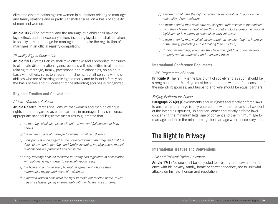eliminate discrimination against women in all matters relating to marriage and family relations and in particular shall ensure, on a basis of equality of men and women…

**Article 16(2)** The betrothal and the marriage of a child shall have no legal effect, and all necessary action, including legislation, shall be taken to specify a minimum age for marriage and to make the registration of marriages in an official registry compulsory.

# *Disability Rights Convention*

**Article 23(1)** States Parties shall take effective and appropriate measures to eliminate discrimination against persons with disabilities in all matters relating to marriage, family, parenthood and relationships, on an equal basis with others, so as to ensure . . . [t]he right of all persons with disabilities who are of marriageable age to marry and to found a family on the basis of free and full consent of the intending spouses is recognized.

# **Regional Treaties and Conventions**

#### *African Women's Protocol*

**Article 6** States Parties shall ensure that women and men enjoy equal rights and are regarded as equal partners in marriage. They shall enact appropriate national legislative measures to guarantee that:

- *a) no marriage shall take place without the free and full consent of both parties;*
- *b) the minimum age of marriage for women shall be 18 years;*
- *c) monogamy is encouraged as the preferred form of marriage and that the rights of women in marriage and family, including in polygamous marital relationships are promoted and protected;*
- *d) every marriage shall be recorded in writing and registered in accordance with national laws, in order to be legally recognised;*
- *e) the husband and wife shall, by mutual agreement, choose their matrimonial regime and place of residence;*
- *f) a married woman shall have the right to retain her maiden name, to use it as she pleases, jointly or separately with her husband's surname;*
- *g) a woman shall have the right to retain her nationality or to acquire the nationality of her husband;*
- *h) a woman and a man shall have equal rights, with respect to the nationality of their children except where this is contrary to a provision in national legislation or is contrary to national security interests;*
- *i) a woman and a man shall jointly contribute to safeguarding the interests of the family, protecting and educating their children;*
- *j) during her marriage, a woman shall have the right to acquire her own property and to administer and manage it freely.*

# **International Conference Documents**

# *ICPD Programme of Action*

**Principle 9** The family is the basic unit of society and as such should be strengthened. . . . Marriage must be entered into with the free consent of the intending spouses, and husband and wife should be equal partners.

#### *Beijing Platform for Action*

**Paragraph 274(e)** [Governments should e]nact and strictly enforce laws to ensure that marriage is only entered into with the free and full consent of the intending spouses; in addition, enact and strictly enforce laws concerning the minimum legal age of consent and the minimum age for marriage and raise the minimum age for marriage where necessary . . . .

# **The Right to Privacy**

**International Treaties and Conventions**

*Civil and Political Rights Covenant*

**Article 17(1)** No one shall be subjected to arbitrary or unlawful interference with his privacy, family, home or correspondence, nor to unlawful attacks on his [sic] honour and reputation.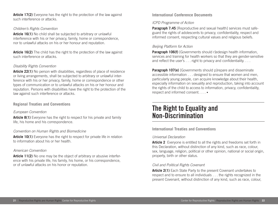**Article 17(2)** Everyone has the right to the protection of the law against such interference or attacks.

#### *Children's Rights Convention*

**Article 16(1)** No child shall be subjected to arbitrary or unlawful interference with his or her privacy, family, home or correspondence, nor to unlawful attacks on his or her honour and reputation.

**Article 16(2)** The child has the right to the protection of the law against such interference or attacks.

#### *Disability Rights Convention*

Article 22(1) No person with disabilities, regardless of place of residence or living arrangements, shall be subjected to arbitrary or unlawful interference with his or her privacy, family, home or correspondence or other types of communication or to unlawful attacks on his or her honour and reputation. Persons with disabilities have the right to the protection of the law against such interference or attacks.

# **Regional Treaties and Conventions**

#### *European Convention*

**Article 8(1)** Everyone has the right to respect for his private and family life, his home and his correspondence.

#### *Convention on Human Rights and Biomedicine*

Article 10(1) Everyone has the right to respect for private life in relation to information about his or her health.

#### *American Convention*

**Article 11(2)** No one may be the object of arbitrary or abusive interference with his private life, his family, his home, or his correspondence, or of unlawful attacks on his honor or reputation.

# **International Conference Documents**

#### *ICPD Programme of Action*

**Paragraph 7.45** [Reproductive and sexual health] services must safeguard the rights of adolescents to privacy, confidentiality, respect and informed consent, respecting cultural values and religious beliefs.

#### *Beijing Platform for Action*

**Paragraph 106(f) [Governments should riedesign health information,** services and training for health workers so that they are gender-sensitive and reflect the user's . . . right to privacy and confidentiality. . . .

**Paragraph 107(e)** [Governments should p]repare and disseminate accessible information . . . designed to ensure that women and men, particularly young people, can acquire knowledge about their health, especially information on sexuality and reproduction, taking into account the rights of the child to access to information, privacy, confidentiality, respect and informed consent. . . . •

# **The Right to Equality and Non-Discrimination**

**International Treaties and Conventions**

#### *Universal Declaration*

**Article 2** Everyone is entitled to all the rights and freedoms set forth in this Declaration, without distinction of any kind, such as race, colour, sex, language, religion, political or other opinion, national or social origin, property, birth or other status.

#### *Civil and Political Rights Covenant*

**Article 2(1)** Each State Party to the present Covenant undertakes to respect and to ensure to all individuals . . . the rights recognized in the present Covenant, without distinction of any kind, such as race, colour,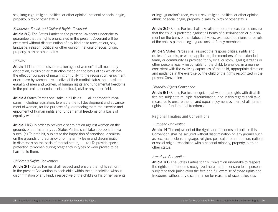sex, language, religion, political or other opinion, national or social origin, property, birth or other status.

#### *Economic, Social, and Cultural Rights Covenant*

**Article 2(2)** The States Parties to the present Covenant undertake to guarantee that the rights enunciated in the present Covenant will be exercised without discrimination of any kind as to race, colour, sex, language, religion, political or other opinion, national or social origin, property, birth or other status.

#### *CEDAW*

**Article 1** [T]he term "discrimination against women" shall mean any distinction, exclusion or restriction made on the basis of sex which has the effect or purpose of impairing or nullifying the recognition, enjoyment or exercise by women, irrespective of their marital status, on a basis of equality of men and women, of human rights and fundamental freedoms in the political, economic, social, cultural, civil or any other field.

**Article 3** States Parties shall take in all fields . . . all appropriate measures, including legislation, to ensure the full development and advancement of women, for the purpose of guaranteeing them the exercise and enjoyment of human rights and fundamental freedoms on a basis of equality with men.

**Article 11(2)** In order to prevent discrimination against women on the grounds of . . . maternity . . . States Parties shall take appropriate measures: (a) To prohibit, subject to the imposition of sanctions, dismissal on the grounds of pregnancy or of maternity leave and discrimination in dismissals on the basis of marital status; . . . (d) To provide special protection to women during pregnancy in types of work proved to be harmful to them.

#### *Children's Rights Convention*

**Article 2(1)** States Parties shall respect and ensure the rights set forth in the present Convention to each child within their jurisdiction without discrimination of any kind, irrespective of the child's or his or her parents

or legal guardian's race, colour, sex, religion, political or other opinion, ethnic or social origin, property, disability, birth or other status.

**Article 2(2)** States Parties shall take all appropriate measures to ensure that the child is protected against all forms of discrimination or punishment on the basis of the status, activities, expressed opinions, or beliefs of the child's parents, legal guardians, or family members.

**Article 5** States Parties shall respect the responsibilities, rights and duties of parents, or where applicable, the members of the extended family or community as provided for by local custom, legal guardians or other persons legally responsible for the child, to provide, in a manner consistent with the evolving capacities of the child, appropriate direction and guidance in the exercise by the child of the rights recognized in the present Convention.

#### *Disability Rights Convention*

**Article 6(1)** States Parties recognize that women and girls with disabilities are subject to multiple discrimination, and in this regard shall take measures to ensure the full and equal enjoyment by them of all human rights and fundamental freedoms.

**Regional Treaties and Conventions**

# *European Convention*

**Article 14** The enjoyment of the rights and freedoms set forth in this Convention shall be secured without discrimination on any ground such as sex, race, colour, language, religion, political or other opinion, national or social origin, association with a national minority, property, birth or other status.

#### *American Convention*

Article 1(1) The States Parties to this Convention undertake to respect the rights and freedoms recognized herein and to ensure to all persons subject to their jurisdiction the free and full exercise of those rights and freedoms, without any discrimination for reasons of race, color, sex,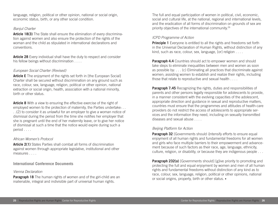language, religion, political or other opinion, national or social origin, economic status, birth, or any other social condition.

# *Banjul Charter*

**Article 18(3)** The State shall ensure the elimination of every discrimination against women and also ensure the protection of the rights of the woman and the child as stipulated in international declarations and conventions.

**Article 28** Every individual shall have the duty to respect and consider his fellow beings without discrimination . . . .

#### *European Social Charter (Revised)*

**Article E** The enjoyment of the rights set forth in [the European Social] Charter shall be secured without discrimination on any ground such as race, colour, sex, language, religion, political or other opinion, national extraction or social origin, health, association with a national minority, birth or other status.

**Article 8** With a view to ensuring the effective exercise of the right of employed women to the protection of maternity, the Parties undertake: . . . .(2) to consider it as unlawful for an employer to give a woman notice of dismissal during the period from the time she notifies her employer that she is pregnant until the end of her maternity leave, or to give her notice of dismissal at such a time that the notice would expire during such a period . . . .

#### *African Women's Protocol*

**Article 2(1)** States Parties shall combat all forms of discrimination against women through appropriate legislative, institutional and other measures . . . .

**International Conference Documents**

#### *Vienna Declaration*

**Paragraph 18** The human rights of women and of the girl-child are an inalienable, integral and indivisible part of universal human rights.

The full and equal participation of women in political, civil, economic, social and cultural life, at the national, regional and international levels, and the eradication of all forms of discrimination on grounds of sex are priority objectives of the international community.26

# *ICPD Programme of Action*

**Principle 1** Everyone is entitled to all the rights and freedoms set forth in the Universal Declaration of Human Rights, without distinction of any kind, such as race, colour, sex, language, [or] religion . . . .

**Paragraph 4.4** Countries should act to empower women and should take steps to eliminate inequalities between men and women as soon as possible by: . . . (c) Eliminating all practices that discriminate against women; assisting women to establish and realize their rights, including those that relate to reproductive and sexual health . . . .

**Paragraph 7.45** Recognizing the rights, duties and responsibilities of parents and other persons legally responsible for adolescents to provide, in a manner consistent with the evolving capacities of the adolescent, appropriate direction and guidance in sexual and reproductive matters, countries must ensure that the programmes and attitudes of health-care providers do not restrict the access of adolescents to appropriate services and the information they need, including on sexually transmitted diseases and sexual abuse

# *Beijing Platform for Action*

**Paragraph 32** [Governments should i]ntensify efforts to ensure equal enjoyment of all human rights and fundamental freedoms for all women and girls who face multiple barriers to their empowerment and advancement because of such factors as their race, age, language, ethnicity, culture, religion, or disability, or because they are indigenous people . . .

**Paragraph 232(a)** [Governments should] [g]ive priority to promoting and protecting the full and equal enjoyment by women and men of all human rights and fundamental freedoms without distinction of any kind as to race, colour, sex, language, religion, political or other opinions, national or social origins, property, birth or other status. •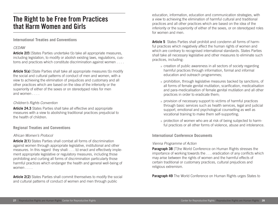# **The Right to be Free from Practices that Harm Women and Girls**

# **International Treaties and Conventions**

# *CEDAW*

Article 2(f) **[States Parties undertake t]o take all appropriate measures,** including legislation, to modify or abolish existing laws, regulations, customs and practices which constitute discrimination against women . . . .

**Article 5(a)** [State Parties shall take all appropriate measures t]o modify the social and cultural patterns of conduct of men and women, with a view to achieving the elimination of prejudices and customary and all other practices which are based on the idea of the inferiority or the superiority of either of the sexes or on stereotyped roles for men and women . . . .

# *Children's Rights Convention*

**Article 24.3** States Parties shall take all effective and appropriate measures with a view to abolishing traditional practices prejudicial to the health of children.

**Regional Treaties and Conventions**

# *African Women's Protocol*

**Article 2(1)** States Parties shall combat all forms of discrimination against women through appropriate legislative, institutional and other measures. In this regard they shall: . . . b) enact and effectively implement appropriate legislative or regulatory measures, including those prohibiting and curbing all forms of discrimination particularly those harmful practices which endanger the health and general well-being of women . . . .

**Article 2(2)** States Parties shall commit themselves to modify the social and cultural patterns of conduct of women and men through public

education, information, education and communication strategies, with a view to achieving the elimination of harmful cultural and traditional practices and all other practices which are based on the idea of the inferiority or the superiority of either of the sexes, or on stereotyped roles for women and men.

**Article 5** States Parties shall prohibit and condemn all forms of harmful practices which negatively affect the human rights of women and which are contrary to recognised international standards. States Parties shall take all necessary legislative and other measures to eliminate such practices, including:

- $\circ$  creation of public awareness in all sectors of society regarding harmful practices through information, formal and informal education and outreach programmes;
- $\circ$  prohibition, through legislative measures backed by sanctions, of all forms of female genital mutilation, scarification, medicalisation and para-medicalisation of female genital mutilation and all other practices in order to eradicate them;
- $\circ$  provision of necessary support to victims of harmful practices through basic services such as health services, legal and judicial support, emotional and psychological counselling as well as vocational training to make them self-supporting;
- $\circ$  protection of women who are at risk of being subjected to harmful practices or all other forms of violence, abuse and intolerance.

**International Conference Documents**

# *Vienna Programme of Action*

**Paragraph 38** [T]he World Conference on Human Rights stresses the importance of working towards the . . . eradication of any conflicts which may arise between the rights of women and the harmful effects of certain traditional or customary practices, cultural prejudices and religious extremism.

**Paragraph 49** The World Conference on Human Rights urges States to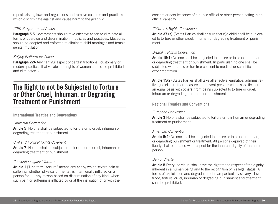repeal existing laws and regulations and remove customs and practices which discriminate against and cause harm to the girl child.

# *ICPD Programme of Action*

**Paragraph 5.5** Governments should take effective action to eliminate all forms of coercion and discrimination in policies and practices. Measures should be adopted and enforced to eliminate child marriages and female genital mutilation.

# *Beijing Platform for Action*

**Paragraph 224** Any harmful aspect of certain traditional, customary or modern practices that violates the rights of women should be prohibited and eliminated. •

# **The Right to not be Subjected to Torture or Other Cruel, Inhuman, or Degrading Treatment or Punishment**

# **International Treaties and Conventions**

#### *Universal Declaration*

**Article 5** No one shall be subjected to torture or to cruel, inhuman or degrading treatment or punishment.

# *Civil and Political Rights Covenant*

**Article 7** No one shall be subjected to torture or to cruel, inhuman or degrading treatment or punishment.

# *Convention against Torture*

**Article 1** [T]he term "torture" means any act by which severe pain or suffering, whether physical or mental, is intentionally inflicted on a person for . . . any reason based on discrimination of any kind, when such pain or suffering is inflicted by or at the instigation of or with the consent or acquiescence of a public official or other person acting in an official capacity . . . .

# *Children's Rights Convention*

**Article 37 (a)** [States Parties shall ensure that n]o child shall be subjected to torture or other cruel, inhuman or degrading treatment or punishment.

## *Disability Rights Convention*

Article 15(1) No one shall be subjected to torture or to cruel, inhuman or degrading treatment or punishment. In particular, no one shall be subjected without his or her free consent to medical or scientific experimentation.

**Article 15(2)** States Parties shall take all effective legislative, administrative, judicial or other measures to prevent persons with disabilities, on an equal basis with others, from being subjected to torture or cruel, inhuman or degrading treatment or punishment.

# **Regional Treaties and Conventions**

# *European Convention*

**Article 3** No one shall be subjected to torture or to inhuman or degrading treatment or punishment.

# *American Convention*

**Article 5(2)** No one shall be subjected to torture or to cruel, inhuman, or degrading punishment or treatment. All persons deprived of their liberty shall be treated with respect for the inherent dignity of the human person.

# *Banjul Charter*

**Article 5** Every individual shall have the right to the respect of the dignity inherent in a human being and to the recognition of his legal status. All forms of exploitation and degradation of man particularly slavery, slave trade, torture, cruel, inhuman or degrading punishment and treatment shall be prohibited.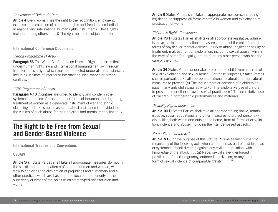# *Convention of Belém do Pará*

**Article 4** Every woman has the right to the recognition, enjoyment, exercise and protection of all human rights and freedoms embodied in regional and international human rights instruments. These rights include, among others: . . . d) The right not to be subjected to torture . . . .

**International Conference Documents**

# *Vienna Programme of Action*

**Paragraph 56** The World Conference on Human Rights reaffirms that under human rights law and international humanitarian law, freedom from torture is a right which must be protected under all circumstances, including in times of internal or international disturbance or armed conflicts.

# *ICPD Programme of Action*

**Paragraph 4.10** Countries are urged to identify and condemn the systematic practice of rape and other forms of inhuman and degrading treatment of women as a deliberate instrument of war and ethnic cleansing and take steps to assure that full assistance is provided to the victims of such abuse for their physical and mental rehabilitation. •

# **The Right to be Free from Sexual and Gender-Based Violence**

**International Treaties and Conventions**

# **CEDAW**

**Article 5(a)** [State Parties shall take all appropriate measures tlo modify the social and cultural patterns of conduct of men and women, with a view to achieving the elimination of prejudices and customary and all other practices which are based on the idea of the inferiority or the superiority of either of the sexes or on stereotyped roles for men and women . . . .

**Article 6** States Parties shall take all appropriate measures, including legislation, to suppress all forms of traffic in women and exploitation of prostitution of women.

# *Children's Rights Convention*

**Article 19(1)** States Parties shall take all appropriate legislative, administrative, social and educational measures to protect the child from all forms of physical or mental violence, injury or abuse, neglect or negligent treatment, maltreatment or exploitation, including sexual abuse, while in the care of parent(s), legal guardian(s) or any other person who has the care of the child.

**Article 34** States Parties undertake to protect the child from all forms of sexual exploitation and sexual abuse. For these purposes, States Parties shall in particular take all appropriate national, bilateral and multilateral measures to prevent: (a) The inducement or coercion of a child to engage in any unlawful sexual activity; (b) The exploitative use of children in prostitution or other unlawful sexual practices; (c) The exploitative use of children in pornographic performances and materials.

# *Disability Rights Convention*

**Article 16(1)** States Parties shall take all appropriate legislative, administrative, social, educational and other measures to protect persons with disabilities, both within and outside the home, from all forms of exploitation, violence and abuse, including their gender-based aspects.

# *Rome Statute of the ICC*

**Article 7(1)** For the purpose of this Statute, "crime against humanity" means any of the following acts when committed as part of a widespread or systematic attack directed against any civilian population, with knowledge of the attack: . . . (g) Rape, sexual slavery, enforced prostitution, forced pregnancy, enforced sterilization, or any other form of sexual violence of comparable gravity  $\ldots$ . <sup>27</sup>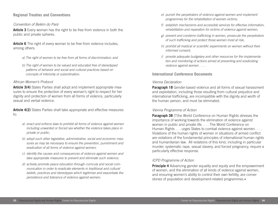# **Regional Treaties and Conventions**

#### *Convention of Belém do Pará*

**Article 3** Every woman has the right to be free from violence in both the public and private spheres.

**Article 6** The right of every woman to be free from violence includes, among others:

- *a) The right of women to be free from all forms of discrimination; and*
- *b) The right of women to be valued and educated free of stereotyped patterns of behavior and social and cultural practices based on concepts of inferiority or subordination.*

#### *African Women's Protocol*

**Article 3(4)** States Parties shall adopt and implement appropriate measures to ensure the protection of every woman's right to respect for her dignity and protection of women from all forms of violence, particularly sexual and verbal violence.

Article 4(2) States Parties shall take appropriate and effective measures to:

- *a) enact and enforce laws to prohibit all forms of violence against women including unwanted or forced sex whether the violence takes place in private or public;*
- *b) adopt such other legislative, administrative, social and economic measures as may be necessary to ensure the prevention, punishment and eradication of all forms of violence against women;*
- *c) identify the causes and consequences of violence against women and take appropriate measures to prevent and eliminate such violence;*
- *d) actively promote peace education through curricula and social communication in order to eradicate elements in traditional and cultural beliefs, practices and stereotypes which legitimise and exacerbate the persistence and tolerance of violence against women;*
- *e) punish the perpetrators of violence against women and implement programmes for the rehabilitation of women victims;*
- *f) establish mechanisms and accessible services for effective information, rehabilitation and reparation for victims of violence against women;*
- *g) prevent and condemn trafficking in women, prosecute the perpetrators of such trafficking and protect those women most at risk;*
- *h) prohibit all medical or scientific experiments on women without their informed consent;*
- *i) provide adequate budgetary and other resources for the implementation and monitoring of actions aimed at preventing and eradicating violence against women . . . .*

#### **International Conference Documents**

# *Vienna Declaration*

**Paragraph 18** Gender-based violence and all forms of sexual harassment and exploitation, including those resulting from cultural prejudice and international trafficking, are incompatible with the dignity and worth of the human person, and must be eliminated.

#### *Vienna Programme of Action*

**Paragraph 38** [T]he World Conference on Human Rights stresses the importance of working towards the elimination of violence against women in public and private life. . . . The World Conference on Human Rights . . . urges States to combat violence against women. . . . Violations of the human rights of women in situations of armed conflict are violations of the fundamental principles of international human rights and humanitarian law. All violations of this kind, including in particular murder, systematic rape, sexual slavery, and forced pregnancy, require a particularly effective response.

#### *ICPD Programme of Action*

**Principle 4** Advancing gender equality and equity and the empowerment of women, and the elimination of all kinds of violence against women, and ensuring women's ability to control their own fertility, are cornerstones of population and development-related programmes.•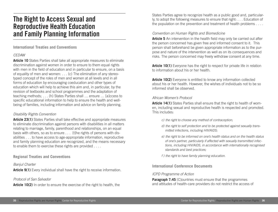# **The Right to Access Sexual and Reproductive Health Education and Family Planning Information**

**International Treaties and Conventions**

# *CEDAW*

**Article 10** States Parties shall take all appropriate measures to eliminate discrimination against women in order to ensure to them equal rights with men in the field of education and in particular to ensure, on a basis of equality of men and women: . . . (c) The elimination of any stereotyped concept of the roles of men and women at all levels and in all forms of education by encouraging coeducation and other types of education which will help to achieve this aim and, in particular, by the revision of textbooks and school programmes and the adaptation of teaching methods; . . . (h) States Parties shall … ensure … [a]ccess to specific educational information to help to ensure the health and wellbeing of families, including information and advice on family planning.

# *Disability Rights Convention*

**Article 23(1)** States Parties shall take effective and appropriate measures to eliminate discrimination against persons with disabilities in all matters relating to marriage, family, parenthood and relationships, on an equal basis with others, so as to ensure . . . [t]he rights of persons with disabilities . . . to have access to age-appropriate information, reproductive and family planning education are recognized, and the means necessary to enable them to exercise these rights are provided . . . .

**Regional Treaties and Conventions**

*Banjul Charter*

**Article 9(1)** Every individual shall have the right to receive information.

*Protocol of San Salvador*

**Article 10(2)** In order to ensure the exercise of the right to health, the

States Parties agree to recognize health as a public good and, particularly, to adopt the following measures to ensure that right: . . . Education of the population on the prevention and treatment of health problems . . . .

# *Convention on Human Rights and Biomedicine*

**Article 5** An intervention in the health field may only be carried out after the person concerned has given free and informed consent to it. This person shall beforehand be given appropriate information as to the purpose and nature of the intervention as well as on its consequences and risks. The person concerned may freely withdraw consent at any time.

**Article 10(1)** Everyone has the right to respect for private life in relation to information about his or her health.

**Article 10(2)** Everyone is entitled to know any information collected about his or her health. However, the wishes of individuals not to be so informed shall be observed.

# *African Women's Protocol*

**Article 14(1)** States Parties shall ensure that the right to health of women, including sexual and reproductive health is respected and promoted. This includes:

- *c) the right to choose any method of contraception;*
- *d) the right to self protection and to be protected against sexually transmitted infections, including HIV/AIDS;*
- *e) the right to be informed on one's health status and on the health status of one's partner, particularly if affected with sexually transmitted infections, including HIV/AIDS, in accordance with internationally recognised standards and best practices;*
- *f ) the right to have family planning education.*

**International Conference Documents**

# *ICPD Programme of Action*

**Paragraph 7.45** [C]ountries must ensure that the programmes and attitudes of health-care providers do not restrict the access of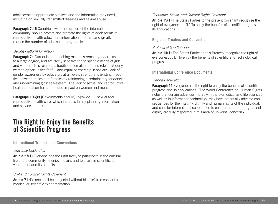adolescents to appropriate services and the information they need, including on sexually transmitted diseases and sexual abuse . . . .

**Paragraph 7.46** Countries, with the support of the international community, should protect and promote the rights of adolescents to reproductive health education, information and care and greatly reduce the number of adolescent pregnancies.

# *Beijing Platform for Action*

**Paragraph 74** Curricula and teaching materials remain gender-biased to a large degree, and are rarely sensitive to the specific needs of girls and women. This reinforces traditional female and male roles that deny women opportunities for full and equal partnership in society. Lack of gender awareness by educators at all levels strengthens existing inequities between males and females by reinforcing discriminatory tendencies and undermining girls' self-esteem. The lack of sexual and reproductive health education has a profound impact on women and men.

**Paragraph 106(e)** [Governments should] [p]rovide . . . sexual and reproductive health care, which includes family planning information and services .

# **The Right to Enjoy the Benefits of Scientific Progress**

**International Treaties and Conventions**

*Universal Declaration*

**Article 27(1)** Everyone has the right freely to participate in the cultural life of the community, to enjoy the arts and to share in scientific advancement and its benefits.

*Civil and Political Rights Covenant*

**Article 7** [N]o one shall be subjected without his [sic] free consent to medical or scientific experimentation.

## *Economic, Social, and Cultural Rights Covenant*

**Article 15(1)** The States Parties to the present Covenant recognize the right of everyone: . . . (b) To enjoy the benefits of scientific progress and its applications . . . .

**Regional Treaties and Conventions**

# *Protocol of San Salvador*

Article 14(1) The States Parties to this Protocol recognize the right of everyone: . . . b) To enjoy the benefits of scientific and technological progress . . . .

**International Conference Documents**

# *Vienna Declaration*

**Paragraph 11** Everyone has the right to enjoy the benefits of scientific progress and its applications. The World Conference on Human Rights notes that certain advances, notably in the biomedical and life sciences as well as in information technology, may have potentially adverse consequences for the integrity, dignity and human rights of the individual, and calls for international cooperation to ensure that human rights and dignity are fully respected in this area of universal concern.•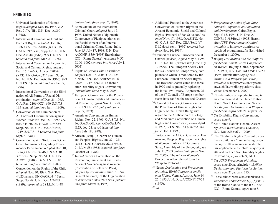- <sup>1</sup> Universal Declaration of Human Rights, *adopted* Dec. 10, 1948, G.A. Res. 217A (III), U.N. Doc. A/810 (1948).
- <sup>2</sup> International Covenant on Civil and Political Rights, *adopted* Dec. 16, 1966, G.A. Res. 2200A (XXI), UN GAOR, 21st Sess., Supp. No. 16, U.N. Doc. A/6316 (1966), 999 U.N.T.S. 171 (*entered into force* Mar. 23, 1976).
- <sup>3</sup> International Covenant on Economic, Social and Cultural Rights, *adopted* Dec. 16, 1966, G.A. Res. 2200A  $(XXI)$ , UN GAOR,  $21<sup>st</sup>$  Sess., Supp. No. 16, U.N. Doc. A/6316 (1966), 993 U.N.T.S. 3 (*entered into force* Jan. 3, 1976).
- <sup>4</sup> International Convention on the Elimination of All Forms of Racial Discrimination, *adopted* Dec. 21, 1965, G.A. Res. 2106 (XX), 660 U.N.T.S. 195 *(entered into force* Jan. 4, 1969).
- <sup>5</sup> Convention on the Elimination of All Forms of Discrimination against Women, *adopted* Dec. 18, 1979, G.A. Res. 34/180, UN GAOR, 34<sup>th</sup> Sess., Supp. No. 46, U.N. Doc. A/34/46, 1249 U.N.T.S. 13 (*entered into force* Sept. 3, 1981).
- <sup>6</sup> Convention against Torture and Other Cruel, Inhuman or Degrading Treatment or Punishment, *adopted* Dec. 10, 1984, G.A. Res. 39/46, UN GAOR, 39th Sess., Supp. No. 51, U.N. Doc. A/39/51 (1984), 1465 U.N.T.S. 85 (*entered into force* June 26, 1987).
- <sup>7</sup> Convention on the Rights of the Child, *adopted* Nov. 20, 1989, G.A. Res. 44/25, annex, UN GAOR, 44th Sess., Supp. No. 49, U.N. Doc. A/44/49 (1989), *reprinted in* 28 I.L.M. 1448

(*entered into force* Sept. 2, 1990).

- <sup>8</sup> Rome Statute of the International Criminal Court, *adopted* July 17, 1998, United Nations Diplomatic Conference of Plenipotentiaries on the Establishment of an International Criminal Court, Rome, Italy, June 15–July 17, 1998, U.N. Doc. A/CONF.183/9 (1998) [hereinafter ICC – Rome Statute], *reprinted in* 37 I.L.M. 1002 (*entered into force* July 1, 2002)*.*
- <sup>9</sup> Rights of Persons with Disabilities, *adopted* Dec. 13, 2006, G.A. Res. 61/106, U.N. Doc. A/RES/61/106 (2006), 1249 U.N.T.S. 13 [hereinafter Disability Rights Convention] (*entered into force* May 3, 2008).
- <sup>10</sup> European Convention for the Protection of Human Rights and Fundamental Freedoms, *signed* Nov. 4, 1950, 213 U.N.T.S. 222 (*entry into force* Sept. 3, 1953).
- <sup>11</sup> American Convention on Human Rights, Nov. 22, 1969, O.A.S.T.S. No. 36, O.A.S. Off. Rec. OEA/Ser.L/V/ II.23, doc. 21, rev. 6 (*entered into force* July 18, 1978).
- <sup>12</sup> African (Banjul) Charter on Human and Peoples' Rights, June 27, 1981, O.A.U. Doc. CAB/LEG/67/3 rev. 5, 21 I.L.M 58 (1982) (*entered into force* October 21, 1986).
- <sup>13</sup> Inter-American Convention on the Prevention, Punishment and Eradication of Violence against Women (Convention of Belém do Pará), *adopted by acclamation* June 9, 1994, General Assembly of the Organization of American States, 24th Sess (*entered into force* March 5, 1995).
- <sup>14</sup> Additional Protocol to the American Convention on Human Rights in the Area of Economic, Social and Cultural Rights "Protocol of San Salvador," *adopted* Nov. 17, 1988, O.A.S.T.S. No. 69, O.A.S. Off. Rec. OEA/Ser.L.V/ II.82 doc.6 rev.1 (1992) (*entered into force* Nov. 16, 1999).
- <sup>15</sup> Council of Europe, European Social Charter (revised) *signed* May 3, 1996, E.T.S. No. 163 (*entered into force* July 1, 1999). The European Social Charter is a Council of Europe treaty, compliance to which is monitored by the European Council on Social Rights. The Revised Charter came into force in 1999 and is gradually replacing the initial 1961 treaty. At present, 25 of the 47 Council of Europe member states have ratified the revised Charter.
- <sup>16</sup> Council of Europe, Convention for the Protection of Human Rights and Dignity of the Human Being with regard to the Application of Biology and Medicine: Convention on Human Rights and Biomedicine, *signed* April 4, 1997, E.T.S. No. 164 (*entered into force* Dec. 1, 1999).
- <sup>17</sup> Protocol to the African Charter on Human and Peoples' Rights on the Rights of Women in Africa, 2nd Ordinary Sess., Assembly of the Union, *adopted* July 11, 2003 (*entered into force* Nov. 25, 2005). The African Women's Protocol is often referred to as the "Maputo Protocol."
- <sup>18</sup> *Vienna Declaration and Programme of Action, World Conference on Human Rights*, Vienna, Austria, June 14- 25, 1993, U.N. Doc. A/CONF.157/23 (1993).

<sup>19</sup> *Id.*

- <sup>20</sup> *Programme of Action of the International Conference on Population and Development,* Cairo, Egypt, Sept. 5-13, 1994, U.N. Doc. A/ CONF.171/13/Rev.1 (1995) [hereinafter *ICPD Programme of Action*], *available at* http://www.unfpa.org/ icpd/icpd-programme.cfm (last visited December 1, 2009).
- <sup>21</sup> *Beijing Declaration and the Platform for Action, Fourth World Conference on Women*, Beijing, China, September 4-15 1995, U.N. Doc. A/CONF.177/20 (1996) [hereinafter *Beijing Declaration and Platform for Action*] *available at* http://www.un.org/womenwatch/daw/beijing/platform/ (last visited December 1, 2009).
- <sup>22</sup> This definition of reproductive rights was re-enforced at the United Nations Fourth World Conference on Women. *See Beijing Declaration and Platform for Action*, *supra* note 21, at para. 95.
- <sup>23</sup> *See* Disability Rights Convention, *supra* note 9.
- <sup>24</sup> *See* United Nations General Assembly, *2005 World Summit Outcome*, U.N. Doc A/Res/60/1 (2005).
- <sup>25</sup> The Children's Rights Convention defines a child as a "human being below the age of 18 years unless, under the law applicable to the child, majority is attained earlier." *See* Disability Rights Convention, *supra* note 9, art. 1.
- <sup>26</sup> *See ICPD Programme of Action, supra* note 20, at principle 4; *Beijing Declaration and Platform for Action, supra* note 21, at para. 213.
- <sup>27</sup> These crimes were also established as war crimes under Article 8(2)(b)(xxii) of the Rome Statute of the ICC. *See*  ICC – Rome Statute, *supra* note 8.